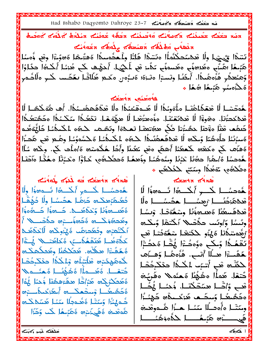Had Bshabo Daqyomto Dahroye 23-7 مَنْ مَتَمَّمَ مَتَّامَة بَاسَة بَعْضُكُمْ Had Bshabo Daqyomto Dahroye 23-7

للمعْمَلَا الْمَلْكُمْ الْمَكْتُمْ الْمُتَامَةُ الْمُخْتَامَ الْمُتَكَامَةِ الْمَحْمَدِينَ الْمَحْمَد المَحْمَ حَكَ مُعَدَّة مَ مَا مِثْلُ مَ مَا مَسْتَمْتُ مَ مَا مُ مَعْتَ مَا مَ مَعْتَ مَا مَدَّمَتَ مَا مَعْت

سِّنَةًا وَيُحِيَا وِلًا مَّحْمَدَكْتُمَلُّا مَنْتَخْا هَاتُا وِلْمَحْمَىمُا هَعْتَىهَا هَوَوْشَا وِمْع وُمِمْا هَّبُـِـهُا اهْبَنَّـ وهَاهوَّى وهُسوْنَى عَذَّـا هَى لَمَـٰـْيَـا. أَحكَـها حَـُـامُ الْمَـٰـهَا حَـُـاوُا وَهِنُعِكُمٍ فُنُوهُنَكُمْ!. أَنْظُلُمْ وِتَسَبْرَا وَتَبْوَهُ؛ وَاسْبُونَ وَكَنَفْعَ هَلَكُمْ بَعْضَت لَح وألاقُتوم أَهَكَأْدَمُو هَزَمَعًا شَعَا \*

## بالمحلوبة المستحدث

هُوصْسَا لَا مْعَمَّلْمَٰنَـا ولَمَّونُدًا لَا هُـوفَسُدًا ولَا مْذَفَعِمُنــُدًا. أَفِ هُوَحُهَــا لَا مْهَكْحِبُوْلِ. وهُوزْا لُا مْهَكْسْمْدْ. وذُوهِبُوْهَا لُا هِجْتَهْا. تَتْعُـدُا سَكْـدُهُ! وَحُجَّتهُـدُا كَعكُم مْتْلْ هَوْمْلْ حَصَّتُوْلا شُكَّ هِمَّتْهْلا تَمْحَاهْ! وِنَصْحَد حْجَهْه لْحُكْمُنْـا كَالْحَقْد هَسْبُنُا حِلْوهُمَا وُحْكُم لًا مْدْفَعِفْنُدًا ۞هو لمُكْتَدِّمُا وَكَسْوَمُا وِصُّم مْنِ هَصَّرَا هَ هَذِه لَكِ مَكْفُرُه لَكُمِعَنَّا أَهْمَى مِنْعٍ تَعْنَا وِأَمَا هُكُمْسُو هَاهِ أَصْلَ لَكَ. وِكْن عُال هُوصُا ةَ/حَمَٰ;ا حمَّلًا تَجْرُبُ وِمُوَهُمُكُمْ وَذَهِهُمْ وَحَكْشَى كَلَوْٓا وَتَحَبَّلْا وَمَصْلَ وَأَحْسَ | ەڭلاۋە، ئەھْدا | ومَئتى للىُللغَى \*

هُوصُط كُنوبِ أَكْتُوا نُنووذًا وِلَا دُهُنهُ ُوهِدٌ ۞ دُومُنَا لِعَدُسُنَا وَلَا دُوُنْقَالَ ةُهَْبِ وَذُلُّلٍ وَكَذَهَبِ مَ أَحْدَوْا كَدِرُّهُ وَذَا وهُدهُوَنْكُــــــه ةُدُهُوَّـــــــــهِ دَكْتُـــــــلا / ألمُتُحرْه وحُعُدرَهُم ةَ لِزْوِكْلِهِ لَلْتَذْهَدُ كَذّْتَهُــا هُنَقَـهُكُنــَى هُكَاهَتــلا هُــَةْا هُمَقَىٰٓةٍا مِيكُلُوهِ. مَجْكَمُهُمُّا ومَجْحَكُمِيكُ و لْحُمْهَكُمْ» مْلَتْبْلُه وْلْكْلًا حْتْدْخْدَلْ دُّتِهَــا. ةُهُـــواْلْ ةُهُهُنَــا ةُـهنُــو\ ةَهَدَكْكِيْدُو هَٰدًا مَدَّ وَهُمَا وُحِبًا لَمُهَا ةَكَشَمْــا وَستَعْكَـــهِ أَيْعَنّْنَمَاًــــــْهِ دُء}بُرُّا وَعَتْلَا ةَهُدَدِيًّا عَمْدًا هَمَكُمْكُلُو هُوَهُدَهُ وَكَيْ زَيْرَهُ وَكَرَحْهَا لَكُتْ وَكَرَّا

 $\tau$ - $\tau$  $\tau$ هُدمسُـــا كُــــو أَكْـــــهُ الــُـــدهُواْ لُا أَهْكَاجُنُــــا رُهِـنُـــــا هجَّـنُــــا هلَّا هْدْهَٰىىغُىْلْ ەُھْلەدُوْنُا وشْغُوْصًا. وْلِسُلْ وتُسُلِّ وَاوِتُب حَدَّثَتَ ٱلْكُتَعْلَ وُلْكُنَّهِ رَهُدسَدُلَا هَلِزَو حَكَنفَ سَعْتَمَتَ هَبِ تَقَعُـٰدًا وَّـكَــ هُوَهُــٰٓةَا هُتَّـا هَـٰدَـٰٓةِا هَقَسْتَرَا هِــلَا أَنْبٍ. فُزُهِهُــل وَقِــزَهِـ لحَثَّــْه هَــِ أَتــَبَــ لمكــدًا حنَّــْرِحُصْـل دَّتقا. هَٰداُ ا مِثْهُلُا هَـعنُد\ مِفَجِبُة ْهَبِ وُٱخْسا هِمَتّْكُنْسَا. فُحِنُسا هُٰحُساً ەكھُىھُا ۇمىگىگ ھُزىُسىدە كَهْنُدَّا ومَتْنَا وأُوصِلًا مَيْسًا هِدًا هُدوقَنِيَة فَي آرَه هَزَمهُــــا كِلْهِۥوْهُـُــــا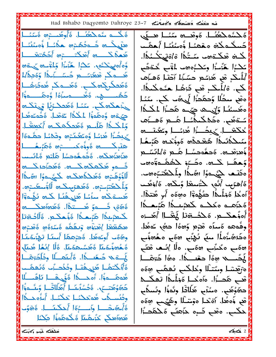Had Bshabo Daqyomto Dahroye 23-7 مَنْ تَمْ مَتْ الْمَسْتَمْعَ بِمَامَ Had Bshabo Daqyomto Dahroye 23-7

ةُ كُـــو مُوَكْفُــا. ۞ُأُوهَٰـــــْرُو ۞مَـُنُـــا مَثَلِكُ هُـ مُـمْضُمْرَه هَدُّكُ وُمِنْتُكُـا مُعِمْكَـــــو أَمْكَتــــــــْرو أَحَقُتِعْــــا وْهِ أَوْسِيْكُمْ، كَكَرَا هُنْتُمْ أَكَدَ مِكْتُرُوهِ أَوْسَاءَ مُحْدِيكُمْ مُعَكِّنِكُمْ حُسَنَ ذَٰلِهُ وَوَجِدًا لَهَ ةَمَعِكُمِكُمِكُمِ. ةَمَسْمَكُمْ شُمْدَهُسَا يتشرع المحتكمة أخنف بكمكمش جَهْدُه وُهِهُوُا لِمُكُمُّا عُوْهَا. وُجُمِعُوهُـا وَلِمُكُمَّا هَٰلَــم ةَهُدَكُهِكُــهِ أَحْمَدْتُــا. حْدَرُا هُزِئْل وُمَعَفَّتَةِ وَهَدْئا حَقَّمَةَا هتركم وؤهكم شره ةهذها مْزَمْزَمْكُلُو. ةَجُمْعُوْجِيْبَا هَاتُمْ وَاسْتِ ئُسەو مُلْكَكْلَةِكْسَة. ةُمُحَزَّدِكْسَة لَلْزَوُفَسْرَه ةَمَعْلَمُعنْدُه كُنَّيْءَوُا اهُكُمَّا وَأَلْكَتَبْشِرْهِ. ةَهُدَيْهِكُلُهُ لَلْقُسْعَيْتِهِ. كَستْكَلُّه سَأَسًا هَٰذِيهَا لَكُمْ تُهْدَرْا ةُ36) فُــوَ مُــتدَّا. ةَهُدْاً هُمْ الْمَسْتَدَّارِ لْمُعْبَيْدًا هَٰزُ مِيْمًا وُذُهِكُــْ وَالْأَصْوَابُ مدهَمَهَا إِمْرَزْوَهِ وَيَقَعَّمَ وَسَرَوْهِ وَهُدَرَهِ وهَهُما أُوعَهَٰلا. هُدْهِهَا أَسِيًا ثَهْنُهُمَّا ةُ هُرُوَيْهَ مِنَا وَ هُسُمْعَهُ مِنَا. وَلَا إِنْهَا هُمْنَا لِهَ يُدْيِ دُهُنِيْ). وَأَسْكَنَا وَدُكَّرْهْبَا ةُأَلَّكْتَهُــا هَٰنِيهُنَــا وِكُحُــَّبَ ةَنُعَمَّـت هُدهَــدُواْ. أوحـــدا وُفَيحْـــا تَاهُــــاْلِ دَةَوُهُتِــَى، ۚ ذَحُسُنَــٰفَــٰ أَهْلَاتْــا وَعْـُـدوَٰا وتُنْسِيكُ شُوْيْعَكْسَا بْحَكْسَا. أَمْرُوجِيجًا ةُأَحدَّمَتْكُمْ وَٱحْسَرْهَا أَحككَسَمَا. هُ١ هُدْاَهِكُمْ كُنُبِّصُبًا وُكُوهُوا وَكِنَا

أَهْكِشُهِكْفُتُمْلَ. هُوقْسُدْ مَنْسًا هِمْيَ كَسِكْتْمَكّْفْ مْقْعَصْلْ وُْمِشْتُمْلْ أَهْقَتْ لَّكْ هُكَّـةِ مِنْ مُتَذَكَّا وْاوْتِيْكُــْدَا. كَذَا هَٰٓ: أَو كِلّْ وَ00 مِنْ أَوْبِ كُتّْمَى أَلَمْكُمْ هُو هُزْسُمْ حَسَّزًا أَحْتَا هُجَاهَ كُم. ةُ/أَسْكُم قَنِي دَّرْهُا هِنُدَكُماً. ەھْم مىڭلا ۇجھَجْزا لِّى ھَب كَبِ. مَنْتَار الْمَكْمَا أَبْصَةَ صَرِّحَ لَّكَ مَا الْمُسْمَّةِ | سُـتَمَّب. ەَحَمْكَــدُّسُــل هُـــم ەَفـــزَم أَ كُنْݣُقْطٍ. يُحِكْسُوا هُوبْسَا وِمَعْنَسُدِهِ أَسَّلَـٰكُلِّـٰهُۥ هَٰعْـُـدَاْرُه هُوؤُنَـٰدِهِ هَٰٓءُـٰهُـا أَوَّهَاهُــــه. هُحَقَّدَحَسُـــا هُـــع هُ/ائَسُنَـــع وَحِقَــز كَـــره. وَجَـــرَوْ لِلْمُفَــْـوَوُورُوب ەكْتْھْ جْيُحْوَا اھْجْا وِلْمَحْتَوْرُومْ. أَهُ/فَرَّمِتْ أَلَيْهِ ۖ خَنُوْمَتْهَا وُحَكْلُهُ. ذَاوْهُت أَأْهَدُا هُذِلُّمُا حَنُّهُوٓةُا وَهِوَهُ أَبِ هُتَمَّالُ أمُدَّعده مكلبه كَعرَّسِدًا هَبْسِدًا أُهوَّمكُمُ هُ حَدُّةَ لَمْ يَشْمِلْ أَهُمْ وَ وقُوهو وَمِيزُو مُجْرِم وَرُووُا حَيْيٍ عَوْهَا. ِ هَٰذَاهُ أَمْ لَا مِنْ مَهْجَمِ مِنْ مَدَّدَوْب هەَب ەڭىنَّب ھەَب. ەلَّا إِنُـم شَبَّ وْرْقِيْسَا وِيْتَتَلَا وِكْلِكْبِ نُعْقَبِ وَوَوْهِ هْبِ هَْصَرَٰا. وَأُوحُط وَّفِلُطُّا تَعكُنُّهُ حەَوُهُم . مىنْآم ھَلَاتْا وِنُووُّا وِنُسكَم أَمْعِ وُدِهُدَا. آة ْمَا دَوْمَتْنَاا وِهَٰيُهِم وَدَهُ مكب. وقب كَبِره مَزْهَبُ مُحْهَدِءُا

سَلمُلُک دَّبِ اللَّهُ الْمُحَمَّدُ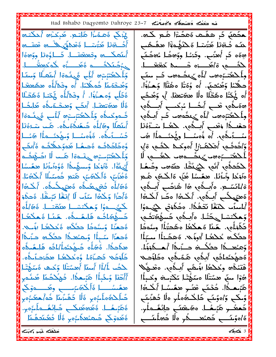Had Bshabo Daqyomto Dahroye 23-7 مَنْ تَمْسَمْ بِمَ بِمَسْتَمْكِمْ بِمَ بِمَسْتَمْكِمْ بِمَسْتَمْكُمْ

لِنْكُمْ ةُهِمْنُا هَاتِمْ. هُرِكْتْنَ أَبْتَكْتُمْ أُصُــۃقا مَٰـَّزْمْـــا ةَقْدامٌ كَــدَّ قَسْــہ أَسَّكَـــ ۞ وتَعتَقَسَــا. كَــاؤُدْنَا وَوَّ۞هُا حِرُضُنَكْثُـــــه ةَهَـــــرَّه لِلْـمَكْعِفَــــا. وَلَمَحْتَبِدَهِ ٱلْمَعِينَ وَلَمَّا وَسَلَا وَسَلَا وَمَّدْدَهُ مِنَّا خُمكْسًا. أَو وِضْاًأَلَمُ مِنْفَعِيڤِ ا ةُكَلُّعٍ وُمسْنُوُّا. أُ وِضْلَأَهُ لَكِتْبَا ةُهَيَا الْمَسْ ةَلَّا هِهَتَعَتَـا. أَبَكَ وَهِيشَـهَيْدُه هَايضًا. أَمْدُوكُمِيةً وَلَمَحْتَمَتَهُمْ وَالْمَسْرَةِ وَالْمَسْرَةِ وَالْمُسَاءَةِ ا أَعْلَمُلَا وَهَالَمْ شَعْبُدُهُ جُو. هَبْ شَرَهُنَا دُسُـــلَهُ، ۚ ذُوۡوَسُـــا وَجِهُدَــُــواُ الْأَــُــا وْەكْلْحُلانُــە ەْھىھْـا مُدەرِّحْكَلْتُــە ەْ ْلْتَـٰـى مَكْتَبِّسَةِ، وَأَمْسَى مَتَّسَمَةٍ مِنْ مَسْتَخْصَلَةٍ أَيْ يَقْلَ وَّأَوْ كُل وَّحْسَنُهُمْ الْمُؤْوَالِّ لَّا مَعْصَبُهُ ةَهُنَّىٍّ ةَأَحْدَّىَ هَتَم خُمِيطًا أَحْدُمًا. ةُهَالُمَ دُهْيَ مَمْدُه وَهُ مَثَى كُلُّهُ مَنْ أَلْحَدُهُ ا ةَأَحَٰۥۢا وَحُدُهُا مَنَّف لَا ٳتقْا تَبَـقْا. ةَحكَّوْ لْحَبَّى وَالْمُحَسَّسَا مِتَقْتَا. ذَهَالُه كَسِجُوَّاتُ فَاحْسَنُو. هَيْئَا وْهَكْعَٰا ةُحِمَّىْ وَسَنُوطُ حَفَّكُمْ وَيُحْكِظُ رَؤْسِلا. ةَحِمَرًا سَّبِئًا وَعِمْعِكُمَّا حِفَكُ» حَزَيكًا مِدْحِدًا. ةَمَلَمُ صَجُحْتَمِلُهُ وَاحْمَدُهُ دَاْوْهُلا هُعَاَّهُا وُويُحِجْعَا مِجَرْدِيَكُو. لِّكُتَ لَمُ لَمَا أَسْتَا أَهْشَتْلَا وَكُنْتَ وَْسَكُنْتَا أَأَحْنَا وَحَدِّمًا هَبَعِجًا. حُجُكْصَبًا هُحْدَمٍ مغَسُلِ أَأَكْفَئِـــ ومَـــوْكَى صَلَّلاهُ٥ لَمُ؟مِرِ وَٱلْ ضَفَّنُومَا هُ٥ لَعَعَمَرُهِ مِ ەْھَبُىمْــا. ەْھُەھُىكـــ مُّـاِنُمْــەلَمْوْەر. ةُهُدوْكُمْ شُعِنُعِكُمُوْهِ وَٱلْا تُعَتَّنُهُمْ اللَّهُمْ وَالْمُسَلَّمَةُ

بحنفته بنه بحفته

لَمَحَمَدٍ کَرِ هَقَیمَ هُجَمَّۃًا صُبْرِ لَکّہِ۔ حنَّـه حُـقَتَا هُـُبَسْـا هَـكُـهُّـوَةَا هفَـصَّب ادِهُهِ ثُمِ أُهْنُبٍ. وِثَنْتُلْ وِوُهِجًا ءُهِجَّسٌ ولَمحتَ وه مع عُمرٍ مِنْ أَلَمَّةٍ مِنْ مِنْ مِنْ مِنْ حكْتُا وَهُتَصَبٍّ. أَه وُهَتُا هِعُتْاا وَحَزُّوا. |أُه لُكُنُا مِفَخَّلَا ملَّا هِمَّتَهْتَا. ﴾ وَهُـمَّبِ |۞هَ مِدْهِ وَهُـَـــِ أَمِثُـــا مُرِكَعـــِ أَيِـــدُهِ وَ وأَلهَا مِنْ سَمْعَهُمْ وَأَلَمْ لَهُ مِنْ أَيِلْهُمْ حقبْدًا وْتْعَبّْ أَيّْتُوبْ، حْتَفْتَ سْتَوْدُلْ مئَــــأَبِكُمْهِ. أَه وُّهِمْـــا وِيُحِبَّــواْلِ هُبِ وَٱهُدَهُم ٱلْكُلُّمَٰٓ ۚ وَٱلْكُلُّ ٱهْ وَكُلُّ كُلُّمَى ۚ وَٱلْهَ الأَ مِصْنَفْكَ سَمْعَتْ مِنْ سَمْعَةٍ مِنْ مَسْتَمْكُمْ لَمْ لحُحَدُّو، أَنُو، حَيْنُشْا. حتّە و وَصَّعُـا ەأَفْكَا وَٱلْمُرُّلْ. هِمَّسْلَمْ هُنَّى وَالْحُدَّى وَلَّى م ة/ائسّــــم. ه/ۡيـــدُّهِۥ هُا هُـ;حَـب /ُيــدُّهِۥ ەَمْنَىكُبْ أَبِـدُهِ. أَكْـدُا ەَحَـ; أَكْـدُا ٱلمْسَلَّفَ حَتَقَا تَحْفُّهُا. وَخُكُوْثَو حَيْحَوُا ﴿ وَهَكْتَشَا هِدَاءُ ﴾ أَيَـٰذُهِ ﴾ وَهُـُـاهُ ﴾ وَهُـَـٰدُهُ وَهُمْ يَقْسَىٰ ﴾ [الله عن أول كَلُّوْلُومْ. هُمْا وَهِكْعُا وَهُجَرَّاْ وِمُوَجَا حثَكْتُ حُكْمًا أَآوَوَٰى. هُجَكَّرَٰاْ! مِتَهَلَّا وَهِنُعِيجًا حِئِكُ فِي حَسَنُوا أَحِيجُودًا. هَحهُدُهَ اهْجِهِ أَبِدُهِ هَـمَّدُهِ وَحَاوُحِــد فَتَمُلُه ومُحْكَمُ اؤْحَمَٰ أَبِـكُلِّ. ومْحَهُٰ ۞ْوْا مِيَّ هِمَّتْلَا مِمَّهُتْلِ مَكْبُــِنَّ وِكْـبِدًٰا هَبْـعـدًا. تُـنْسَّـ مْنُــر مغَـسُــا أَكْـــ1هُ ۇڭى ۋادۇسًى خَلْخْشُەلُر ەلَّا خُفْسَى كَعمْـــرِ هَبْــمْــا. 50مَــمْسَــح حاِنُـمْــدأر. |ەُ/ەوۡئَــــ ٖ حَمۡتَعــــــدُّىرٖ ەلَّا حُمۡلَنَــــــحِ  $\mathcal{A}$   $\mathcal{A}$   $\mathcal{A}$   $\mathcal{A}$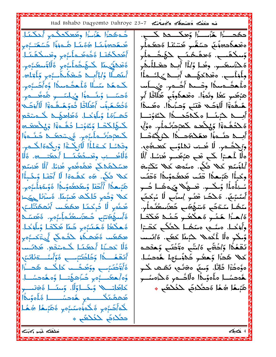Had Bshabo Daqyomto Dahroye 23-7 مَنْ مَتَمَّمَ مَتَّامَة بَاسَة بَعْضُكُمْ Had Bshabo Daqyomto Dahroye 23-7 حَقَّعَتُ أَلَّمَّةً أَوْ وَهَكَــــ مَمْ كَـــبٍ. حُـومُدُا هُزُــُوا وِمُعلَّدِكُـومِ أَحكَمَـلِ مُعَصِّدُونُكَ الْمُمْكَلِ هُدْوَوْا كُمُكْتَبُومِ ەھْھكَدەۋْسٌ ھىنقُىر ھُتىنْقا ەَدەھَمار أَهُدَدْهُنْـا ةُخُوهُــواُمُوه وقسكُفَسًا. ۇسڭگىپ. ةھگىگىگ خۇنگىمار ةُهْدُنَّ عِبَّا كُمِّهُمْ مُدَاءٌ مِنْ ذَلَّا تُصطَّعُونِ. كَتَرْمَعْكَسِبِ. وقُط وُ}£ْ! أَيْنِكُمْ حَقْبَالِمُكُنْ أَمنَعَـلًا وُ}بأَيْــمْ شَعْدَكُمذُوجُومِ وَلَمْتِلْ10. وأَذْلَب مقدككه في كانَسكانَ وَأَسِيرًا وَلَمَّتُ وَأَوْلَى مِنْ لْكُمْهُمْ شَيْأَا ةُلْعَشُمْنِدْا وُهَأَضُرُونِ. مألمثــْمبمُا وتَــبم أَتُــمر. وَيُــأمب ةُحسَّــز وُسُّــدُوٰۢ وَكَاسَّــرٍ هُدَهُـــدِرٍ. هَ مُعْبِ عَعُا وِثَهِ ۚ). هِ هُمَا وَفَى مَكْلَاتُا أَب ةَ دُهَّمَنَّ أَنَّ أَهْلَاتْ الْأَدَّةِ هُمَّدَّدَوْ الْأَازْ وَدَىٰ هُبِدُوَوْا لِّلْوَكُـبِ قُتَبٍ وَحَيَّنِيهِ!. وهَـبِدْاً كَھـِـزَةَا وُلِرُدُـا. ةَهَاهِيَـٰمَ كُــوسْقَمِ أسلم حرمسا مكمكمسكا حتووسا كَنْهَاكْشَا وَخَوْسًا دُفَّەۋْا وْهَكْعْعْدُ و هُكْتُفَوْرًا وَٰلِكُعْدِ كُعَرَّتُرَاتُولُو. وَۚ} أَسِــد حنَّــوزُا مِمَّـدةَ حــدًا حَـرْجُـوَصْــا وذَهْبًا حُــْمَلْمُا لَلْرُبْكُــٰٓةُا وْرِيْحُوهَالْحُــوبِ. وَرُجْدُوبِ. لَٰا هُــزب تَمْلَوُبٍ كَعَــوَّهِ. ةُلْلْهُــــزِبِ وِهْمِمُعُمِّـَـــا أَحْمَدَــــ a. وَلَا ولًا أَحِبْزاً كُلِّ هُلِّ هُبُعُسَرٍ هُزَسًا. أَلَّا هسَّكْعَمْكُمْ شَعَّمَعُومٍ مُنْ أَلَّا مَنْتَمُو أَلْمَؤْمَنُوا كَلا ۚ فَكَيْ. مِنْقُوها كَلا كَلَابِية كَمَلًا ۚ فَكَي. هَو كَفُّوهَا لَا أَحْسًا وُخُبِلًا وِكْبِلًا هَبُعْدًا تَتَب هَٰذِهُدَوُنِدًا هَٰتَتَ هَبُعِمَا ٱأَتْنَا وُعَكِمْدُوُجُا وُوُحَوْلُومِ. سُنَأْهَلًا وُحكْـب. تَعَــوُلا وَيَــوهُــا دُــب كْمَلَا وْشُمْرِ ذَٰلِكُمْ هُدِّينًا. ةُسْرَبُّا جِهَيْءَ |أَمْنَبَّهَ. هَـٰكَـٰۃ مْنُـٰوٖ إِمنَّے لَّا مُّبِكَمَّے هُىئُور لَّا خُرِكْمِبًا مِهْهَكِس أَنُعِهَنَّنَّاتِي مَنْھُا مَتْقَصَّ مُتْمُّھُبِ كَعْنَىعْلَىلُو. ةَ أَسْجُوهُ تَبْ دُعْنُ مِعْنُدةٍ أُمُوهِ. ۚ وَهُنسُكُ أَهْلُمْ أَأَلْمَمْتُ وَحَمْدُ الْمُسَلِّمَ مُؤَذَّرَ ةَ مَكْتُدَا ةَ مَّسَّرُونِ كَتَلَ تَحْكَكُمْ وَلَلْوَجُمْ. وأفحل مئسى منطا لمثكم كقبرا معَقَفَس ةَمَعَكُمْ لِكَسْمَكُمْ لَيَتَبْكِسُونِ وَّىكُر ەلَّا لَمُّدَىلا كَبْتُلْ كَتَكَ. ەَ/نُىس تَقَعُدُّا وَٱدۡتُی هَ ۡاسَّے ہِ وَقُصَٰے وَعَقَصَه ةَلَّا تَحَدَّدُ أَحْقَمَهُ كَلْمَتْقَعْ. هَٰكَسَتْ أَيَّقْفُـــدًا وَحَاحُتَتَ<sub>َ</sub>ـــــ وَوَأَحْسَــة بَائِبَ كَمِلًا هَدُا وَحَقُبٍ دَمْؤُكُومًا خُوصَيًا. ةُأَوْدُنَيْنِ وَوُهُدَّب كَلِكُمْ هَدْ أَ ەۋەكْتْا كَاتْلْ. وۡممَّى ە۞ئـُـى نَـۡصَـَـٰ ـكُــر وَّەلْمَعَنْتَ وَمَارْتَ مَنْ مَدَّسَتَ فَيَ مُقْوَضَتَ ال ـْھُەھسُــا ەلُەۋَىـدًا ەلَّاھْــەر ەَــدُەمىُـــر كَلْعَلَيْــــلا وُحَكْـــلوَلًا. وُسئَـــل ۋەتىــــو هَّبُـمُّا شُمُّا ةَحثَّكْاتُمْ لْمُلْكَتُمْ \* لْكَ*أ*ُكُبُومِ فَكُوفُومَنْبُومِ فَكَبُـ**مُ**ا هُـمُـا حثُدمَ لمنُدشَع \*

كنفته ترب وكافته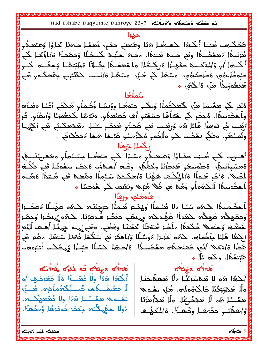Had Bshabo Daqyomto Dahroye 23-7 مَنْ تَمْتَعَمْ بِهِمْ Had Bshabo Daqyomto Dahroye 23-7

كَتْݣُمُوبْ هُٰٓئِيل أَكْتُوا كَفَّىٰٓئِهُا وَهُوَالِّي حَيْنٍ ۖ وَهُمُمَا حَوْيُلًا كَاوُا وَعِنْعَكُم هُنُسُمًا هَعفَصُبِمًا وقَدٍ صَبِّهُ هُـتَمَّا. وصُـفَ هـنُبِه كَبِيضًا وَحِقَصَرًا وَالمُؤْكِيلِ كَج أَكْـدَا أَبِ وْالمُؤْكَـــد حدْجِــٰٓا هَرِكَــٰٓةُ أَا هلْـهَعجُــٰدًا وِحَـٰاتْلَ هَواَوَّتِهْــل وَحِكَــزه كُـــب دَوْدَتُوهُم هَدَاحَتَنهُم. ممّعُا کَلّ هُــَه. ممّعُــا هُاسُــب حَکّتُتَنِب وهَدَكُــمر هُب أَهُدَهُوَمِدًا هُنَّ وَالْحُمَى \*

## مثمأمُا

ەْكْبِ كَلّْ مْكَمْسُلُ مُنَّى كَعْلَاكُمْاًا وُمْكُـرٍ حَمَّاهُمَا وِوُسُمَا وُشُمَارٍ مُكْتَبِ ٱدُمُـا ه وِلْمِحْمِسِيًّا. هَجِتْمٍ كُلِّ هَتَمَلُّقَا حِسَّمَتِنٍ أَفْ حَمَنُعِجُسٍ. وَتَوَهَّا كَجِعْدُونَا وَاسْكُبُن كَر رُهَّىت کَے نُوروڈا هَامُا 6ہ وَرِهَیت تَفِی هَدُو هُدَک مَنْتَا. وقداهدْمَنَی قب اُنْتَیْکا وِثُمنُعُو. دَفَكَ بَعُضَت لَكُو دَلَاشُورِ هَكَرْدَمْنُو هَٰٓبُنَغَا هُـمَّا هُحَفَّكَاثَ \* رجْماً ا ورَجْرًا

أَهْتَى ۚ لَا تَحْسَنُ حَمَّاوُا وَعَنْعَـٰ مُنْ إِلَّــ حَدَّمَـا وَسَــرُه أَر مَعْصِبُنَـٰهَا ﴾ هَ مِسْبِلُنَيكَ. هَ حقَومُعُر مُحجَزُمُا وِحُقُكَ. وحْـ ٥ أَـهـدُوْب هَ حَجَّـ: سَعْوَجُـا هَي حَكْ لَمْصَلًا. ةَاضَّ هَـٰمَاًا ةَالمَكَـُّـُّتَ هُهُنَّا ةَاهتَـُـُـْتُمْ مَـُّبُوماًا وَهُعَـٰهَ هَـَ هُـتَذَّا ةَاهَـٰزه أَلْمَحْمَىنَدُا لَالْكُرْفُومْ وُجُدِهِ شَيْرِ فَلا مُدَيْنَة وتَنْقَفَ كُبْرٍ لِمُوصِبًا ﴾ فأوهُثُم وَرُقِزًا

لْمَحْـممَاْلَ لَـــهُ٥ مَمْـُـلَ الْمَـُـمَاْلَ وَلِكَــم هَــماْلَ حَرَجِنْنَـه لَـــهُ٥ مَهْـــاُل فمحَــبُ وَحمَهِكُم مَهِكُم حَمَكَ، انْجَمعَتْ حَكْتَ حَكْثَ عَمَيْنًا. حَمَّى مَكْهُمَّتَ أَحْمَدَ هُوَوْمِنْ وَهِنُما الْكُلْمَا الْمُكْمَرْ شُتَاطًا خَمَّتْنَا وِرْهُمْبِ. وقَدِيَ حَكَّمَا أَهْتَ لَلْؤُم رَكِحُا فَامُا وِذُهُمْاه. كَمَهُ كَنُمْا وَمِمُمُا وْالمحَدّ هَى مَكْمَا دُمّةِنَا مَتّشَا. ممُع هَي هَدُا هَاوْتَدا أَنَّهِ دَهْشَاه همَّحُسْدًا. هَادْهَا حَسَّلًا دَبْتُوا فَيَحَكَّبُ أَتَبَّوهِ بِ الأمَّنْتُمُدًا. وَكَنْهُ عَلَّا \*

بحث مواقر المحمد المستمر المحمد المحمد المحمد المحمد المحمد المحمد المحمد المحمد المحمد المحمد أَحْدُهُ! هَهُ! وِلَّا حُعْسِبْاً وَّلًا حُعْرِجُــي أَه لَّا فُعَّدَفَــــــكُمَــــــكُـحُوْهِ كُــْرَوه. مُـــــَوْ تمُّـــه لا مَعْسُل هَهُ أولًا حُقْعَدِهِنْكُـــهِ. ةُولًا هِلْمِيكْتُهِ وِكَدْ: خُودُ;هُا وُوَجُعَزًا.

**THEAT THEO** أَحْدُوا هَو لَا مْحِمْنُرْسُلِ ولَا مْحِكَمْتُنَلِ ەلْل مْحَمَّوْدْشُل خَلِحْدُهُ٥ مْنْ عَشَى حَمَّـمَـــد همَّسُا هَ ولَّا مْدْخُرْبُاْ. ولَّا مْداَہُعْزُىٰا وْاهِكْسُو حَدّْرْهُــا وحْهــزًا. ةْالْمُكَمْــْ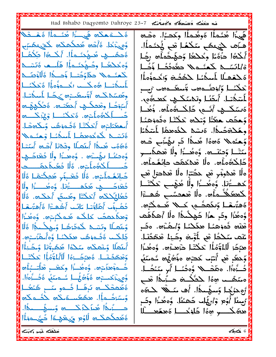Had Bshabo Daqyomto Dahroye 23-7

ةَ لِمُسْتَمَكِّنَ فَي أَنْ مُنْسَمَأًا ةَ هُسْتُمَا وَى آمْدا. ةَ أَحْدَه هُمْكُمْكُلْهُ لَكُمْ بِمَعْكُمْ ةَحِفَسِــي مُبِهُدَــُـمِلًا. أَكْـــِهَا ضَكْصًـا وُهككعُما وصُهُدَعَهُ الكَاسِمِ وَّنَسْطِ لْكَمْنُــدْ لا حَكَّاوُحُنْــا وُدْحُا وْلَأَوْدِيَـٰكَ لَمِيكُمْ الْمُؤْمَلُ الْكُمْدَةُومُ الْمُحْكَمُ الْمُتَحَمَّلُ وهُتَسَمَدُ هُ أَوْسَعَتْ وَ حَكَمَ الْمَنْدُمُ. أَعْوَدُ الْمُحْمَدِينَ أَحْمَدُوهِ. وَمُكْمِهْدِهِ صُطَلَّحُوهُملُّتِره. ةَتَعَكَّسَا وَهُزَكَّــــرَه أَحْمَظُكُلُّوْمَ أَيْحَكُنْنَا ةُثُمُوْهُبَ وُحَكْمَهُمْا. ةَتَسْبِهِ لَحْمُدُوهُما لِمُعِيمُكُمْ وَحِسَمَهَا ةُوَّهَ مُعِدًا أَعْمَلًا وَعَانَا أَحْدَّ أَعْمَا وُّەكِئْسَا بِكُنْزَرُهِ . وُوهْدُا وِلَّا كُعْرَكَتْهَا مُــــــــأَحْدَّوْه أَحْرَى. وْلَا ضُعُبِهُ دِهَـــــد كَـاِلُغُـءلَمْ: ۞ أَلَا تُعْـبِوَٰنِ مَجِكْتَهْـا ۞ لَٰا دُهْرِكَــــــــــــــــ وُرَادِ. وُوهُــــــــزُا وِلُل دُهُالِمُكْلَاهِ أَبْتَكْتَا وهُسَكَ أَحْكَتُهُ. وَلَا دُهُـرُو أَهَاوُنـا عَانَـب أَهُفـــْزَا وَّأَفْتَحِــْا وْهِكْدِهِمَا كَلِيْدُ هُدِيدٌ وْهِ وُوهُدُا وۡمَعَـلًا وتَسْـم خُدَدَٰهُـا وَجِحْـٰهِۢا وَّلَا جَلِكْب ةَضُورْهُب مِنْكَسًا وُهِ أَيْجُرُوهِ. أَسَٰهَلَا وُسْعَدُه سَكْهُ! هَهُرَوُنَا وُحَدَٰدًا وَهْتَعَصَّلْہ وَهُرَكَــزِهُ| لَلاَبُلوَّهُ إِلا تَحكُنْــال كُدوْهِدَامْ: وَالْكُرْدُ وَكُفْسِ هَاتَبُرْلُهِ وَّى آَرَكْمَـــْرَهَ وَّذُهُلُــا شَــمِنَكُ وَْصُــَّزُهُۥُا. ةَهُدَدْكُـــرَةَ تَرِفَـــا تُـــدو مَيْــرِ تَعْنُعُـــا ۇسئزچُــولاً. مەھكىيــۇنگە كېــوكە حَسْنُهُا مُدَرِّكَةً مِنْ الْمَسْهَدِينَ وَمِنْ مِنْ الْمَدَارَ. أَمُعكَّدَه لَهُوَ مِي عَمْلِهَ الْخَيْصُوبُ

ٰ فَيٰٓ; اللَّهُ مَا اللَّهُ وَهُدَا اللَّهِ كُحَــٍّ!. ۚ هَـُـده أَهتُما حَيْبِيمَ مَكْمًا مَنْ يُحْتَمِلُه!. أَحْدُهُ! حَزْهُمُا وحُكْمُلاً وَحَكَمِحْمَاهِ رَجُلاً ة/ائسّكم كَمِنْــهِ لا حَقَّوْدُكُــا وَّدُــا كَحْقَعِبُلَا لَمُسِكْئِلِ حَجْجُدَةِ وَاجْتَوَوْهِ أَل تَكْتُبْ وَأَوْدِئْنُنَاهُ وَمُنْقَسِّنَاهَا وَجِبْرِ لَمتمْشا. أَحَفُا وتممَكني كَعْدَةُوب. ەَسَىكْسِي ٱلَـْـمِ خَلِكْــةُهءَلَهِ. وُهُــا وَحدَّه حَمَّنُا وُتكِه تَكْتُلُّ وَثُوفِيَا ۖ وهَكْوْشَمْلْ. وْسْمْ حْثُوهِمْا لْمُتَمْرُمْ وَحِثَمِلًا وَادَهُ! هُـٰمَا! ثَمِّ لِهُنَّنِي ثَـُـُدِّهِ مَنْتْسَا وَحِنْتَـــ9. وُهِ هُـــزُا وِلًا هُـْـمِـكَمــــر كَلِحْدُّە مُه. ولا شَهْكْتُت حانُغُولُه. ولًا مْدْوَوْرٍ مْعِ حَصَّتِهِ! ولَّا مْدْحَوَلِ مْعِ كَحْـــُّ;ْلَا. وُهِمُـــزُا وِلًا مُحْهَبٍ كَكْتْــا لَحْمَعَكُلُوهُ. وَلَا شَعْصَمُبِ هُدْ: ا ةَ فَتَنْشَطْ وَيَكُمَدُونَ كَسَلًا الْحَسَمَةُ وَمِنْ وُّومُدُّا وكَرِ هُزَا كَهِكُنْهُا وَلَا ٱهْكُفَف هْلُه ثُدَوْهَـُـلْ هَكُــُـلْ وُٱعكُــٰٓوه. دَكَـٰرِ عْلَم مَكْحُلُ هُم لُرّْمِيه وحُـزِلُ هُتَفَحَّسْلُ. هِمَكُرْ لَٰلِمُؤُوَّلًا تَعَكْتُمْ حَرْهِتُرُه. وُهِعُدًّا وَحَطَرِ هُمْ أَتَبَّتَ كَحَرْهِ وَذَهُلُهُ شَوَعَكُمْ صُـُوۡهُۥ . مَكۡصَـــــا وُمحُسًــا أَبِ مَـُنُصَــا. ەمئىگىپ ھۇا خشگىغ جىئىدا قې رُوحِرُجُا وَسَهُماً. أَفْ سَمْلًا كَمُو ِّ مِّيماً أَوُم وْ}رِيَات خَيْمَنَّا. وُهِ هُنَّا وَضَرِ حدَّمَكْبِ وَوَا حَلْفَكْلَ وَمَعَصْلًا

كمنكم لمَهْم وكمُوكتُ

لاطائحة و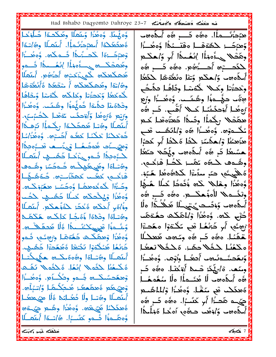Had Bshabo Daqyomto Dahroye 23-7 مَنْ مَتَمَّمَ مَتَّامَةٌ بِمَسْتَمَّمَةٌ Had Bshabo Daqyomto Dahroye 23-7

وَّەلَمْسًا. وُەھُدًا وَّىنَعِلَّا وِهَكُّصِمَّا شَافْكَ ةُمحَطِّكْمَا أَحدَدَتُوبُا. أَعنَٰه الله وهَاشِمَا وْهِرَكْرَوْا ݣْحَرّْبْكْلْ شُدْكُلُه. وْهِهْرْزَا ومَعدَدٌ مِنْ أَمْوَاْ إِنْهُ حَدًّا فَدَو هُعَكُمِكُم كَيْمَ مُكْتَبِرُهِ مُحَامَلُهُ مِنْ مَحْمَلُهُ مِنْ وهَاهَا وهُمكعكُم أَ سْتَعَكِمْ وَأَنْعُدْهَا لأهكعُل وُتَحتُوْتَا وكالكُله لمُخْمَدًا وُخْلِطُا وثَّلاهُ مْلَاءَا خُولُودُا وِهُسِّبٍ. وُوهُدُا وَرَبْعِ وَرُوهُمْ وَأَوْحِكُ عَوْقِهِ لِلْحُسَّلِ. أَمَكِّلًا وَهُدَا هُعَكُكَا رَجُّـهِ إِلَّـ مَعْلَا دُّەتىلىُّا تىلگىُا كَعُدە أَكْتِرْ». وُەمْزُاسًا وَهَيْ أَمِ هُوصُهُ لَمْ يَجْسِمُ هُدُومِهُ للْمَوْمِمَا شَمْوِي وَيْنَجَلْ حَمْسِي أَمْوَمِيْلِ وهُتاهُ! وهُيهَدُدُه شُمَضَيْنِ وهُـمِف قَوْنُدُورٍ كَعَنُدَا كَمُعَذَّرُ مِنْ مُؤَمِّنُ كَلَّا مُحَمَّدًا وَكُتُرًا لَحْدُدُهِكُمْ وُدَكِّتْ مِعْتَرْفِكُ: وُەمْرًا وْلِلْحَكْمْ كَسُلَا خَصَّـى لِلْحُب وِذُاهَبِ أَحِكْمٍ هُكُدَ: حَدَّوٌهكُمْ. أَسَّصَلًا وشَاهَا وَعْلَاهُ| وَمُئِمَا كَلِكُ مَخْكَمُ وَمِنْدُوْا هَيِي كُنْتُسِيرًا وَّلًا مَّدَهَكَ بِهِ. ؤەھُرُا وْمِكَكْلِمَا كَعُوْهَا وْرُوشُو، شُور حَرْبُهُا هَيُكْتَوْا يَكْتَعْا ةَهُهُجْتَا جُعَّيِلٍ. أَسَٰمَاْلِ وَشَاهَلَ وَشَوَهَ كُلُّ هَلَّى كُنْمَارٍ ةَ كَنْمُنَا لِكُمْلًا إِنْمًا. ةَ لِكُمْلًا تَفَتَّقُ وْهِمُحِسَّىْكُ ۞ فُسِمْ وِصُكْبَاهِ. وُهِ هُـــزًا وْمِيْهِكُمْ وْمَعْكَمْعُمْ: مُتْحَكِّتْهَا وَاتَّبَالُهِ. أَسْكَسُلَا وِرَّدْنَا وِلَا دُهُنَائِكَ وَلَا مِحَيْمَعُنَا ةَهْكُمْا هَيْ هُيه. وُهِهُمْ وهُمُوا حَيْمَةِهِ وُهِ صَدوُّا شَدوٍ كَتَبَارُا. ﴿ وَلَاسَدَا أَسْمَلُل

هزَدَزْنَـــداًا. وَوَّه دَــــر وَّه أَحدُه مِن أؤهزَكَ حَدَّهُ عَلَى الْمُقَسَّدُ الْمُؤْمَنُونَ وَالْمَسْرَدُ وهَدْلا بِدَأْهِ وَالْمُسْمَأَلِ أَبْوَ وَٱلْعَلَيْمِ لْكُحْسَرْهِ أُحْسَنُوهُمْ. وَهُوَ كُسْبِ هُوَ أبكوهب والمكع وتنا ولعثوها حكعا وتحتُبْنا وكَحلا لمُنْهَدا ودَّاهُـا دَهَّىتُ وَةً حَقَّـدَّا وِهُنَـــ، وُهمْـــّْا ورُع أَوْهُدَا أَوْحَكُسُدًا كَسَلاً أَقْبٍ. كَبِرٍ هُم |معمَّصْلا ,جُملُه وصَّدُه حَمَّةٍ مِّصلٍ حَم ىُكْتْتَوْھ. وُەھُــزُا ھَە وْالْمُفْــب ھَــر |هزّهنئا وْإِحكْمَة حَدًا هَجْدًا أَبِ كَجْرًا هسُمعُا ثَمِ ۞ه أَحدُه ه عَهُد حَمَعُا وهُــوف لمــوَه مَعَمَــز لْمَـحُــا فَزِيْحــو. هُ الْمُهْمَى حَمَّ سِلَّتْوَا كَلَاهُ مِمْرَضًا هَـَوْ. وُهِ مُنْزَا وِهْلِيْلا يَدْهِ وُثْعَاظًا يُمَيْلًا هُبِهَٰا وِتَنُسُمْلًا لِلْمَؤْهَلْسُمْ. وَهُوَ ضَبِرٍ هُو أَمْ الْمَكْمَةَ الْمَرِيتَرَ ْصَدْهُمْ وَ مِهْدَا أَ كُتْبِ ݣُلُو. وُوهُدُا وْالْمُكْتُ حَقْتُوهَا أَرْجِعُهِ أَبِ حَٰزَتُهُا هُـبِ عَكْتَوْا مِعَصَّرَا تَعَفَّىُـل هِ هُمْ هُمْ وَيُـهِد هُعْمَـلًا وكْمُبُل حْثُلًا حَهَةٍ. وَحْثُلًا تَعْمُلُ أَوَّتَعْجَمْسُونُيهِمَا أَحْجُبَا وَأَوْهَا. وُوَهُنْ أَرْ . ومنَّعت وْأَرْبُكُرْ شَيْخًا أُوْكُنْتُلْ وْهُو شُو رَّةُو أَحِكُوهِبَ لَا هُنْسُواْ وَلَا جُعُوْهُا أَهْمَكُكَ هُو مُنْقَال وُهِمْزُا وْٱلْمُلْعُبِمْ حيّے هَڪُرَا أَبِي كَنَّــُرا. هِ هُه كَــرٍ هُه أَمِدَاهِ وَالْمُعَبِّ دَهُمٍ أَوَكُمَا وَذَلَّمَا لَهُمْ

كنفتك تروم وكالمتاخ

ر پخوند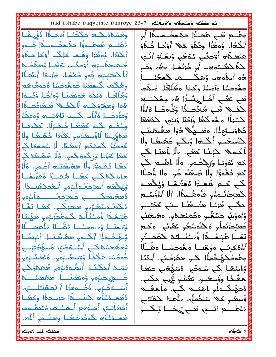Had Bshabo Daqyomto Dahroye 23-7 مَنْ مَتَمَّمَ مَتَّامَة بَاسَة بَعْضُكُمْ Had Bshabo Daqyomto Dahroye 23-7

وهُسَمْهُ لَكْتُ حَكْحُبُ أُوجِعُ أَوْلَى قَلْ ةَمَّسْــم مُّدمَّــدَٰوَٰا حَمْـعثَــدمِـدَّا ذَـُــدو أَكْدُا. وُهِمُزًا وِهَنْفَ كَلِكُتْ أَوْكُلْ شَخْرَوْ مُعصُلاً فِي أَوْحِكُت تَوْمَدا وْمِلَاَكُكُمْ أَلَمْ حَمْدَتِ وَهُو حَرْبُهُا. وَأَسْمَأَ أَحْمَلُه وهَكْمَا كُلْمَعَكُمْ خُوجُوصِمًا وَجوهُرْهُمْ وَهَٰلَاتْ السَّدُّه هُمْتَعُسًا وَۚهِ أَصَٰا وَّصَّمَا ادَّةُ أَوْهِمْ وَذَكْسَهِ لَلْكُلْمَ هُبْعَةٍ وَجَدَّا وُحِتُّوهُــا وَّأَلْمُكَ كُلْـــِد مّاهُـْـــِدِهِ وَوَجِدًا ومُصَّم كُم حُقْفُ صَحَّرَلًا. حُكُمُوا مَكْرَبَّكِمِنَا لَلْتَحْمَيْدِمِ كَلَّاهُا خَصَّكْ وِلَا خُودُلِ جُوسْتَو أَحفَظَ الله مُوجِدَلِ كَعَا تَوْمَا وَرِيْدَهَكُم، وَلَا هُمَّعَدِكُمْ } لَحَظَا دُهُدوْاً وِلَٰا مِنهَ حَمَلَتِهِ أَشْمِرٍ. وَٱلْ مزَىرِكُمْكَبِ حُمَـا هُدَرَّا هُدَّكُـا وْلِكْعْدَه أَحْدَدْتُمَاءُوْمِ أَحْدَدْهُنَــداً. ةَ كُونُ وَمُعَكَّرُومٍ مِتَعْزِكُمٍ. كَعَمَا تَقْلُ هَّتِمْدًا وُمِئْلِّكَ كُمْهَدَّرُومٍ هَٰذَبَّا وُقطْط وُهِ وَمِصْطِ وُقُطْلًا وُلْعِصُطُل وَيَهُبَدُوهُا أَيْحُدِ مِعَرِمُبِيَا. أَيَرْوَجُنَا وَهِهُهِمُكُمْ أَمُنْ وَجَابًا وَمَدَوْهُ وَمِنْ وَمِنْ وَمِنْ وَمِنْ وَمِنْ وَمِنْ وَمِنْ وَمِنْ وَ ڞۘڡؘڞ*ؙڋ*ۘۿڴػٛڶ؋ٚۊٮٮڟٮڔ۠ڡڽ؞ۦۿ۫ػڰؘٮ*ڵ*ڋڡۑڔ تَسْـدْ أَحكْـتَـا. أَحشُـمَهُ-ثَوِي هَٰهكوُكُــح ةَهُدَمَالَمُ كَسُنَدُا دَرْجَدًا وَحَقَبًا أَحْمَٰلُتَــَىٰ أَحــُرْهُمْ أَلْمِمْسُــمَا ةَ يَحْمَّــمَت هُمسَاءَلَمَاه لَحْدَثُدهُكُما وهُنشُدِر ٱلْمُسَ

سُلمُلُک نَہُم رَکوٰئِک

|وصُّــع هَـــــزُا حدَّــعثَــوسكُا أَب |أَكْلَٰہُ|. وُہِمُزٗا وِضَکُوۡ کَلا اُوۡکَـا حُـکُوۡ أَهْتَعِدُهُا أَوْحِكُبِ عُنْهُ مَنْ وَبِغَـزَوْ أَكُـهِ ۖ | لِلْمَلْلِغُنَّــرَهُ مِن مَنْ اللَّهُــا. وَهُوَ وَضَــرٍ رُهُم أَسْلُمُونَ وَهِكْسَسْمَدْ كَلْمَعْنُفْسَسَلَمْ حمُّدمُما وأومُا وكُنْزَا وهُلَاتْا. وُحِلَّات همستكفى أسْتَرِ الْمَسْرِ الْمَسْتَةِ مِنْ الْمَسْتَةِ مِنْ الْمَسْتَةِ مِنْ لِكَــلا هَــ هَٰـزَكْدَــدًا وَّثْرَهِـتَــا هَ/أَا لحَسَّنِهُ! مِمُّمَكَّمُا وَأَتَّقَا وَلَهُم لَكَفَّفَعَا |كَمْؤُسِؤُولُا. وقْتَلْهُمْ وَوْا هِقَىقُتْبَ َ لِتَنْسَعُسِ أَكْـِدَّا وُحَكَّـبٍ خَصَّصًا وِلَٰا أَنْدَمِلا لِكَبِنَا كَعَبٍ. وَلَا أَهتَا كَبِ كُمْ هُوُسًا وَرُكْسُو. ولَا لمصُبْصِ كُلّ كُم دُهُووْٓا وِلًا هُمْعْنُه دُنٍ. وَلَا لَمْعَلَا كُم حُــم هُـڡــتْزا هُٯتُنهْـا وُلِحْقَده كَعْبُدُتُمار فُزُههُــداً. أَلَّا أَاذَنَـــم لمكب هُزئـا هزُمعُنُـا منّع كَتّزُمــر أَوَّاهُ فِي الْمُسْمَّسِ وَحُمْتُهَا وَاللَّهُ وَالْمُسَكِّفَةِ وَالْمُسَلِّمَ ِ كَعرُكْتُمْلُو هَٰ كَنُعْتُمُو عَكَّابٌ. هَكَـع تشّا هَبْتمْكُا وُْمِنْنُكُمْ حْدَدْبُر ٱلمَكَّدِبُ ووُحَسَّا مِعْوصُـا وَشَـْلاً |ەھُەككۆُمەمُلْلى كىر ھەزگىبٌ. أَمَثُىل وَٰٓٱمَدُهَا کُے مَتَوَصَّدٍ. ہَتَوُہُمَے حَمَٰدًا هقَبْدًا وتُسعَب، مُعْسُرِ لَآيِي حَكْبٍ. ەَدېگىگىمار لەشكىلا كىب. ەلمھقىللا وَّسطَسِ كَلاَ مَنْشُملَ، مأهنَّا لِكَنَّتَبِ 

 $\mathbf{x}$ dir $\mathbf{z}$  8